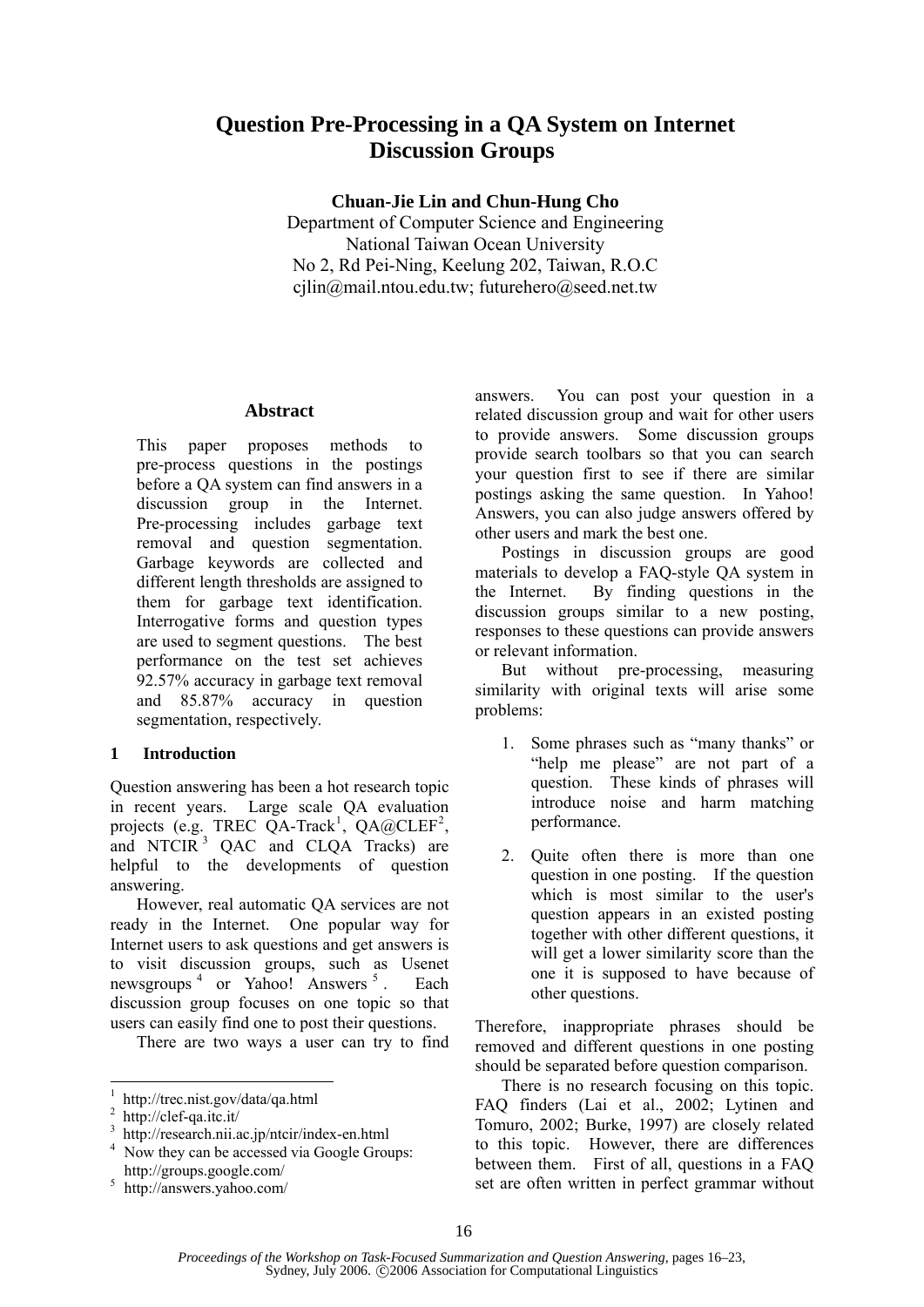# **Question Pre-Processing in a QA System on Internet Discussion Groups**

**Chuan-Jie Lin and Chun-Hung Cho** 

Department of Computer Science and Engineering National Taiwan Ocean University No 2, Rd Pei-Ning, Keelung 202, Taiwan, R.O.C cjlin@mail.ntou.edu.tw; futurehero@seed.net.tw

## **Abstract**

This paper proposes methods to pre-process questions in the postings before a QA system can find answers in a discussion group in the Internet. Pre-processing includes garbage text removal and question segmentation. Garbage keywords are collected and different length thresholds are assigned to them for garbage text identification. Interrogative forms and question types are used to segment questions. The best performance on the test set achieves 92.57% accuracy in garbage text removal and 85.87% accuracy in question segmentation, respectively.

# **1 Introduction**

Question answering has been a hot research topic in recent years. Large scale QA evaluation projects (e.g. TREC  $QA$ -Track<sup>1</sup>,  $QA$ @CLEF<sup>2</sup>, and NTCIR<sup>3</sup> QAC and CLQA Tracks) are helpful to the developments of question answering.

However, real automatic QA services are not ready in the Internet. One popular way for Internet users to ask questions and get answers is to visit discussion groups, such as Usenet newsgroups <sup>4</sup> or Yahoo! Answers <sup>5</sup> . Each discussion group focuses on one topic so that users can easily find one to post their questions.

There are two ways a user can try to find

l

answers. You can post your question in a related discussion group and wait for other users to provide answers. Some discussion groups provide search toolbars so that you can search your question first to see if there are similar postings asking the same question. In Yahoo! Answers, you can also judge answers offered by other users and mark the best one.

Postings in discussion groups are good materials to develop a FAQ-style QA system in the Internet. By finding questions in the discussion groups similar to a new posting, responses to these questions can provide answers or relevant information.

But without pre-processing, measuring similarity with original texts will arise some problems:

- 1. Some phrases such as "many thanks" or "help me please" are not part of a question. These kinds of phrases will introduce noise and harm matching performance.
- 2. Quite often there is more than one question in one posting. If the question which is most similar to the user's question appears in an existed posting together with other different questions, it will get a lower similarity score than the one it is supposed to have because of other questions.

Therefore, inappropriate phrases should be removed and different questions in one posting should be separated before question comparison.

There is no research focusing on this topic. FAQ finders (Lai et al., 2002; Lytinen and Tomuro, 2002; Burke, 1997) are closely related to this topic. However, there are differences between them. First of all, questions in a FAQ set are often written in perfect grammar without

<sup>1</sup> http://trec.nist.gov/data/qa.html

<sup>2</sup> http://clef-qa.itc.it/

<sup>3</sup> http://research.nii.ac.jp/ntcir/index-en.html 4

Now they can be accessed via Google Groups: http://groups.google.com/ 5

http://answers.yahoo.com/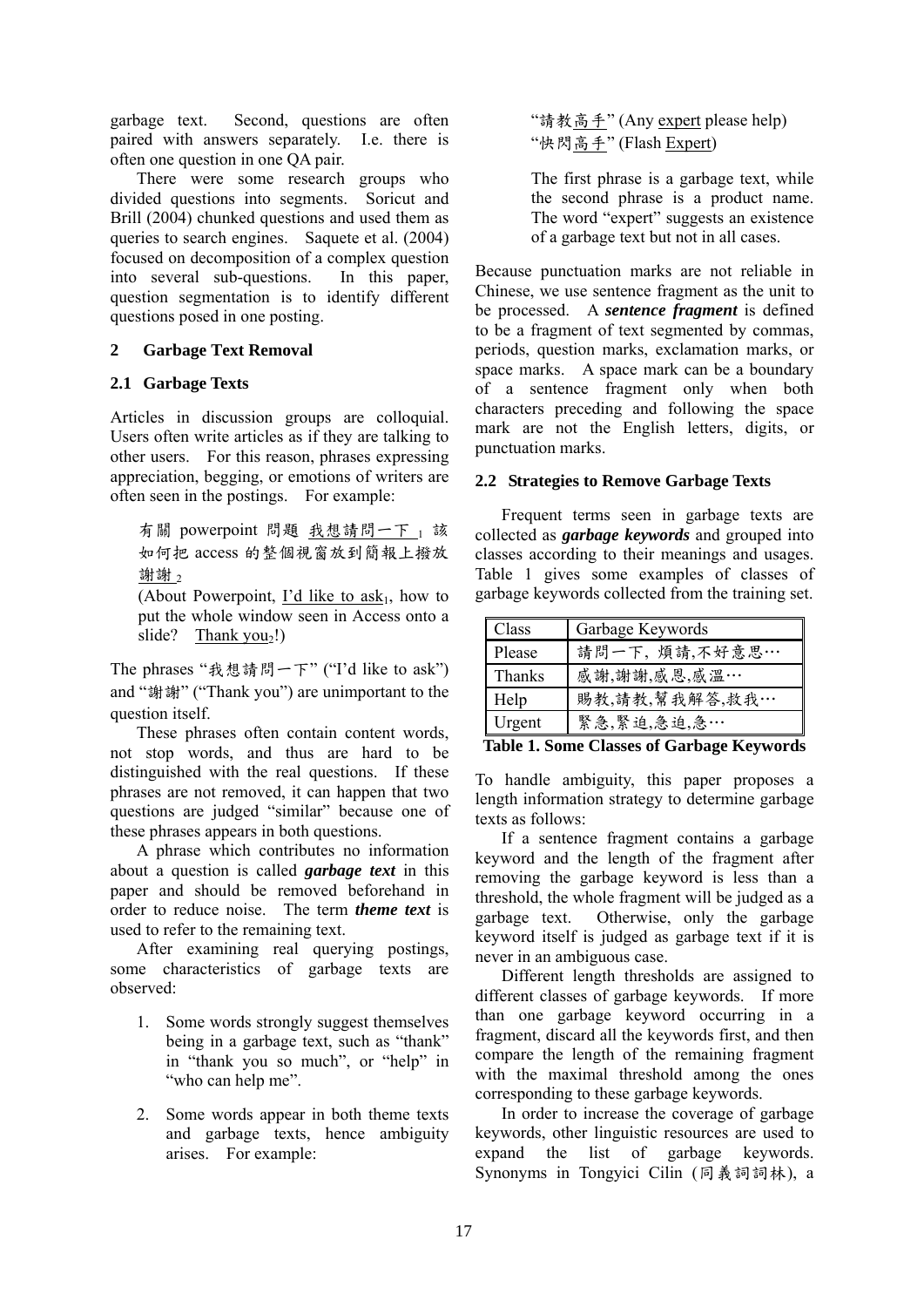garbage text. Second, questions are often paired with answers separately. I.e. there is often one question in one QA pair.

There were some research groups who divided questions into segments. Soricut and Brill (2004) chunked questions and used them as queries to search engines. Saquete et al. (2004) focused on decomposition of a complex question into several sub-questions. In this paper, question segmentation is to identify different questions posed in one posting.

# **2 Garbage Text Removal**

# **2.1 Garbage Texts**

Articles in discussion groups are colloquial. Users often write articles as if they are talking to other users. For this reason, phrases expressing appreciation, begging, or emotions of writers are often seen in the postings. For example:

有關 powerpoint 問題 我想請問一下 」該 如何把 access 的整個視窗放到簡報上撥放 謝謝。

(About Powerpoint, I'd like to  $ask<sub>1</sub>$ , how to put the whole window seen in Access onto a slide? Thank  $you<sub>2</sub>!)$ 

The phrases "我想請問一下" ("I'd like to ask") and "謝謝" ("Thank you") are unimportant to the question itself.

These phrases often contain content words, not stop words, and thus are hard to be distinguished with the real questions. If these phrases are not removed, it can happen that two questions are judged "similar" because one of these phrases appears in both questions.

A phrase which contributes no information about a question is called *garbage text* in this paper and should be removed beforehand in order to reduce noise. The term *theme text* is used to refer to the remaining text.

After examining real querying postings, some characteristics of garbage texts are observed:

- 1. Some words strongly suggest themselves being in a garbage text, such as "thank" in "thank you so much", or "help" in "who can help me".
- 2. Some words appear in both theme texts and garbage texts, hence ambiguity arises. For example:

"請教<u>高手</u>" (Any expert please help) "快閃高手" (Flash Expert)

The first phrase is a garbage text, while the second phrase is a product name. The word "expert" suggests an existence of a garbage text but not in all cases.

Because punctuation marks are not reliable in Chinese, we use sentence fragment as the unit to be processed. A *sentence fragment* is defined to be a fragment of text segmented by commas, periods, question marks, exclamation marks, or space marks. A space mark can be a boundary of a sentence fragment only when both characters preceding and following the space mark are not the English letters, digits, or punctuation marks.

# **2.2 Strategies to Remove Garbage Texts**

Frequent terms seen in garbage texts are collected as *garbage keywords* and grouped into classes according to their meanings and usages. Table 1 gives some examples of classes of garbage keywords collected from the training set.

| 請問一下,煩請,不好意思…  |
|----------------|
|                |
| 賜教,請教,幫我解答,救我… |
|                |
|                |

**Table 1. Some Classes of Garbage Keywords** 

To handle ambiguity, this paper proposes a length information strategy to determine garbage texts as follows:

If a sentence fragment contains a garbage keyword and the length of the fragment after removing the garbage keyword is less than a threshold, the whole fragment will be judged as a garbage text. Otherwise, only the garbage keyword itself is judged as garbage text if it is never in an ambiguous case.

Different length thresholds are assigned to different classes of garbage keywords. If more than one garbage keyword occurring in a fragment, discard all the keywords first, and then compare the length of the remaining fragment with the maximal threshold among the ones corresponding to these garbage keywords.

In order to increase the coverage of garbage keywords, other linguistic resources are used to expand the list of garbage keywords. Synonyms in Tongyici Cilin (同義詞詞林), a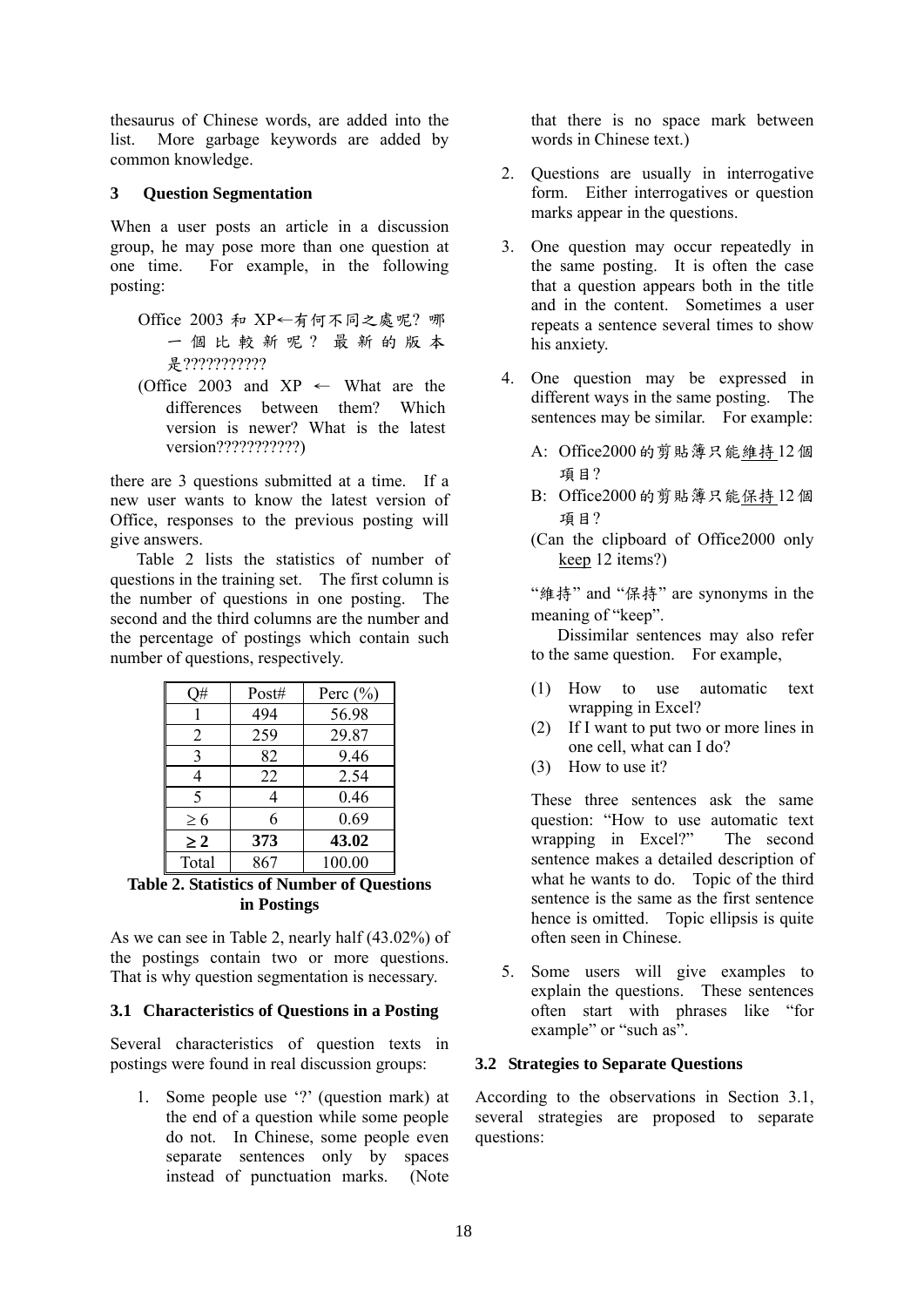thesaurus of Chinese words, are added into the list. More garbage keywords are added by common knowledge.

## **3 Question Segmentation**

When a user posts an article in a discussion group, he may pose more than one question at one time. For example, in the following posting:

- Office 2003 和 XP←有何不同之處呢? 哪 一個比較新呢? 最新的版本 是????????????
- (Office 2003 and  $XP \leftarrow$  What are the differences between them? Which version is newer? What is the latest version????????????)

there are 3 questions submitted at a time. If a new user wants to know the latest version of Office, responses to the previous posting will give answers.

Table 2 lists the statistics of number of questions in the training set. The first column is the number of questions in one posting. The second and the third columns are the number and the percentage of postings which contain such number of questions, respectively.

|          | Post# | Perc $(\% )$ |
|----------|-------|--------------|
|          | 494   | 56.98        |
| 2        | 259   | 29.87        |
| 3        | 82    | 9.46         |
|          | 22    | 2.54         |
| 5        |       | 0.46         |
| $\geq 6$ | 6     | 0.69         |
| $\geq 2$ | 373   | 43.02        |
| Total    | 867   | 100.00       |

**Table 2. Statistics of Number of Questions in Postings** 

As we can see in Table 2, nearly half (43.02%) of the postings contain two or more questions. That is why question segmentation is necessary.

# **3.1 Characteristics of Questions in a Posting**

Several characteristics of question texts in postings were found in real discussion groups:

1. Some people use '?' (question mark) at the end of a question while some people do not. In Chinese, some people even separate sentences only by spaces instead of punctuation marks. (Note that there is no space mark between words in Chinese text.)

- 2. Questions are usually in interrogative form. Either interrogatives or question marks appear in the questions.
- 3. One question may occur repeatedly in the same posting. It is often the case that a question appears both in the title and in the content. Sometimes a user repeats a sentence several times to show his anxiety.
- 4. One question may be expressed in different ways in the same posting. The sentences may be similar. For example:
	- A: Office2000的剪貼簿只能維持12個 項目?
	- B: Office2000的剪貼簿只能保持12個 項目?
	- (Can the clipboard of Office2000 only keep 12 items?)

"維持" and "保持" are synonyms in the meaning of "keep".

Dissimilar sentences may also refer to the same question. For example,

- (1) How to use automatic text wrapping in Excel?
- (2) If I want to put two or more lines in one cell, what can I do?
- (3) How to use it?

These three sentences ask the same question: "How to use automatic text wrapping in Excel?" The second sentence makes a detailed description of what he wants to do. Topic of the third sentence is the same as the first sentence hence is omitted. Topic ellipsis is quite often seen in Chinese.

5. Some users will give examples to explain the questions. These sentences often start with phrases like "for example" or "such as".

# **3.2 Strategies to Separate Questions**

According to the observations in Section 3.1, several strategies are proposed to separate questions: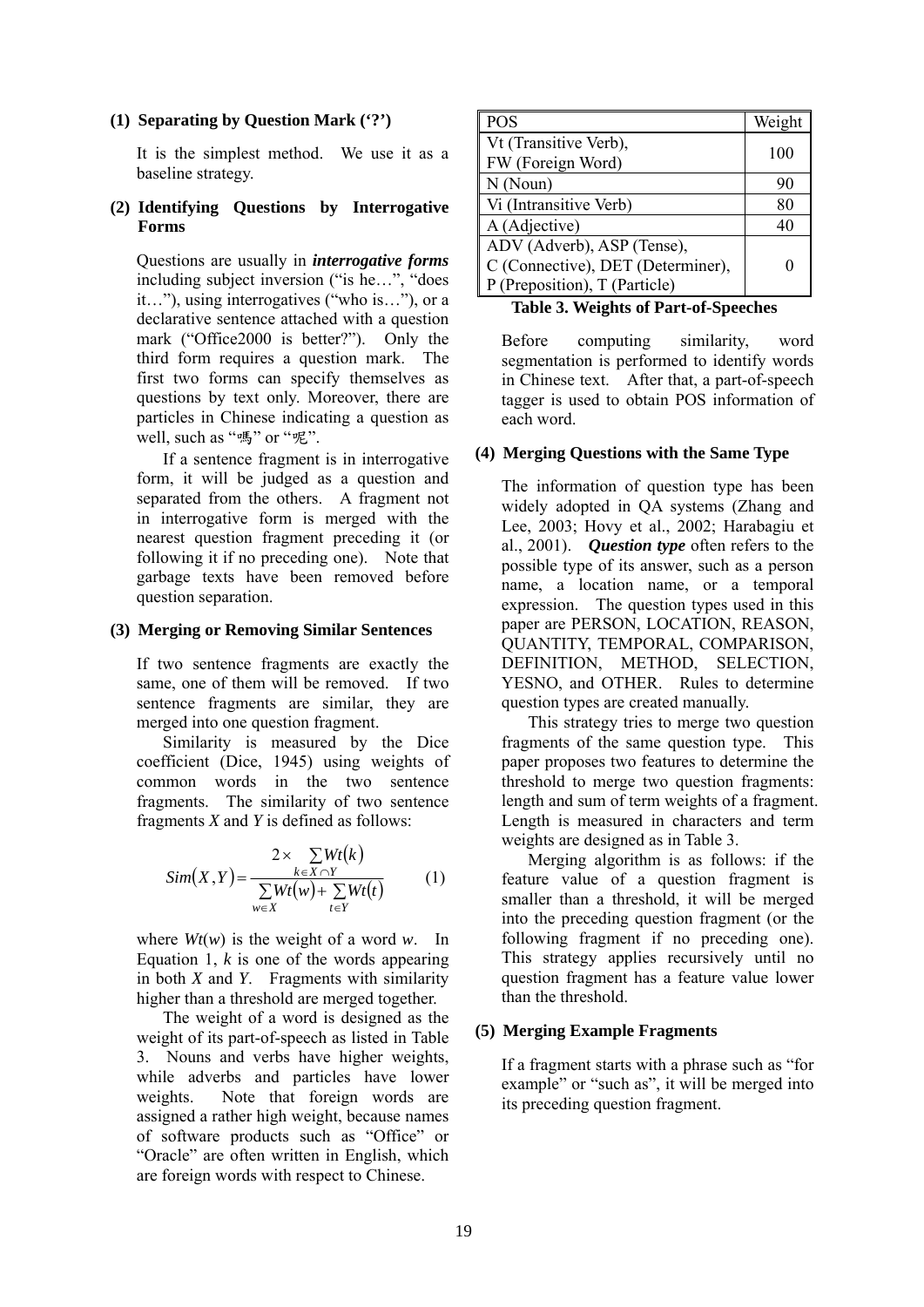#### **(1) Separating by Question Mark ('?')**

It is the simplest method. We use it as a baseline strategy.

## **(2) Identifying Questions by Interrogative Forms**

Questions are usually in *interrogative forms* including subject inversion ("is he…", "does it…"), using interrogatives ("who is…"), or a declarative sentence attached with a question mark ("Office2000 is better?"). Only the third form requires a question mark. The first two forms can specify themselves as questions by text only. Moreover, there are particles in Chinese indicating a question as well, such as "嗎" or "呢".

If a sentence fragment is in interrogative form, it will be judged as a question and separated from the others. A fragment not in interrogative form is merged with the nearest question fragment preceding it (or following it if no preceding one). Note that garbage texts have been removed before question separation.

## **(3) Merging or Removing Similar Sentences**

If two sentence fragments are exactly the same, one of them will be removed. If two sentence fragments are similar, they are merged into one question fragment.

Similarity is measured by the Dice coefficient (Dice, 1945) using weights of common words in the two sentence fragments. The similarity of two sentence fragments *X* and *Y* is defined as follows:

$$
Sim(X, Y) = \frac{2 \times \sum_{k \in X \cap Y} Wt(k)}{\sum_{w \in X} Wt(w) + \sum_{t \in Y} Wt(t)}
$$
(1)

where  $Wt(w)$  is the weight of a word *w*. In Equation 1,  $k$  is one of the words appearing in both *X* and *Y*. Fragments with similarity higher than a threshold are merged together.

The weight of a word is designed as the weight of its part-of-speech as listed in Table 3. Nouns and verbs have higher weights, while adverbs and particles have lower weights. Note that foreign words are assigned a rather high weight, because names of software products such as "Office" or "Oracle" are often written in English, which are foreign words with respect to Chinese.

| <b>POS</b>                        | Weight |
|-----------------------------------|--------|
| Vt (Transitive Verb),             | 100    |
| FW (Foreign Word)                 |        |
| N(Noun)                           | 90     |
| Vi (Intransitive Verb)            | 80     |
| A (Adjective)                     | 40     |
| ADV (Adverb), ASP (Tense),        |        |
| C (Connective), DET (Determiner), |        |
| P (Preposition), T (Particle)     |        |

**Table 3. Weights of Part-of-Speeches**

Before computing similarity, word segmentation is performed to identify words in Chinese text. After that, a part-of-speech tagger is used to obtain POS information of each word.

## **(4) Merging Questions with the Same Type**

The information of question type has been widely adopted in QA systems (Zhang and Lee, 2003; Hovy et al., 2002; Harabagiu et al., 2001). *Question type* often refers to the possible type of its answer, such as a person name, a location name, or a temporal expression. The question types used in this paper are PERSON, LOCATION, REASON, QUANTITY, TEMPORAL, COMPARISON, DEFINITION, METHOD, SELECTION, YESNO, and OTHER. Rules to determine question types are created manually.

This strategy tries to merge two question fragments of the same question type. This paper proposes two features to determine the threshold to merge two question fragments: length and sum of term weights of a fragment. Length is measured in characters and term weights are designed as in Table 3.

Merging algorithm is as follows: if the feature value of a question fragment is smaller than a threshold, it will be merged into the preceding question fragment (or the following fragment if no preceding one). This strategy applies recursively until no question fragment has a feature value lower than the threshold.

## **(5) Merging Example Fragments**

If a fragment starts with a phrase such as "for example" or "such as", it will be merged into its preceding question fragment.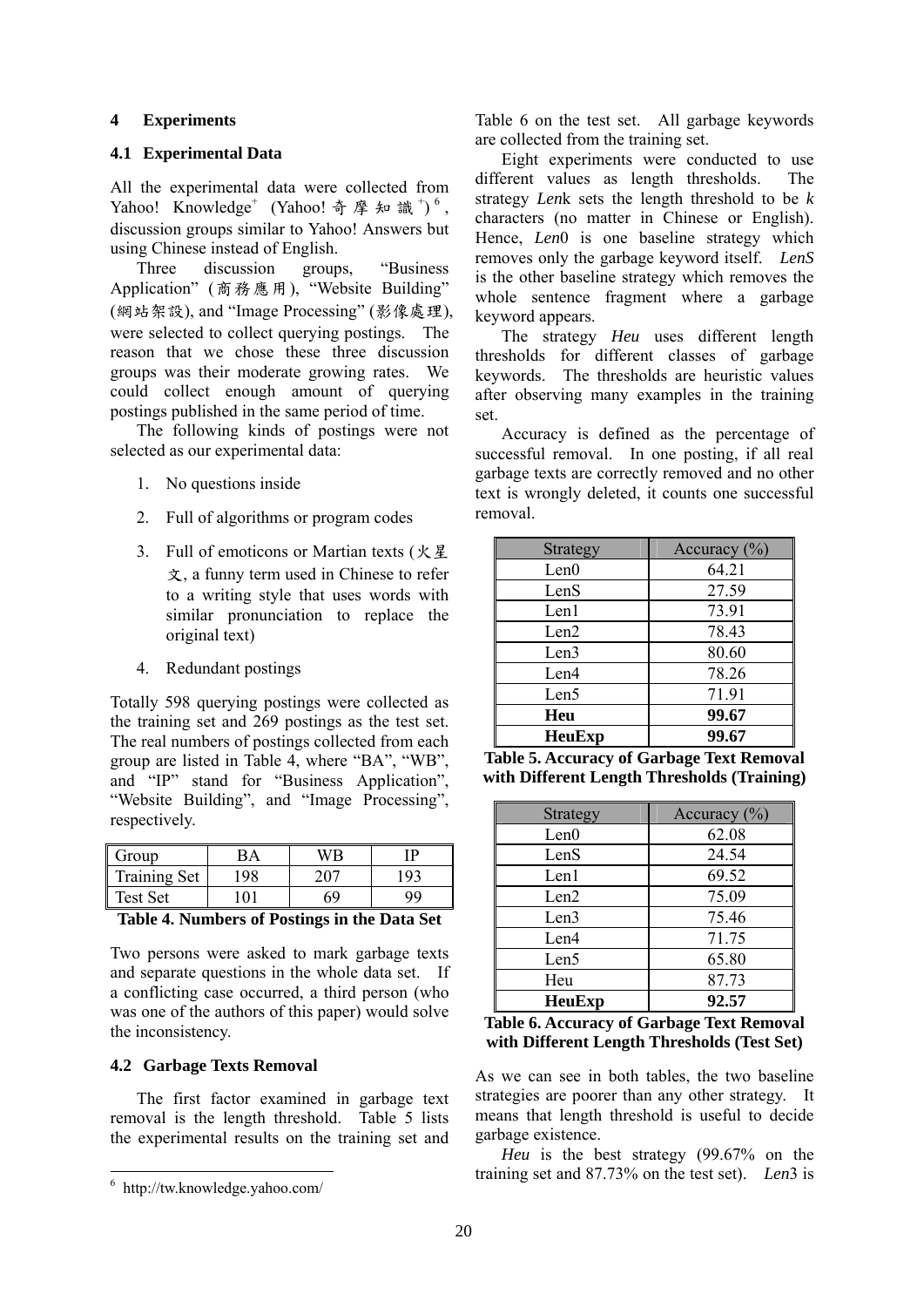#### **4 Experiments**

#### **4.1 Experimental Data**

All the experimental data were collected from Yahoo! Knowledge<sup>+</sup> (Yahoo! 奇摩知識<sup>+</sup>)<sup>6</sup>, discussion groups similar to Yahoo! Answers but using Chinese instead of English.

Three discussion groups, "Business Application" (商務應用), "Website Building" (網站架設), and "Image Processing" (影像處理), were selected to collect querying postings. The reason that we chose these three discussion groups was their moderate growing rates. We could collect enough amount of querying postings published in the same period of time.

The following kinds of postings were not selected as our experimental data:

- 1. No questions inside
- 2. Full of algorithms or program codes
- 3. Full of emoticons or Martian texts (火星 文, a funny term used in Chinese to refer to a writing style that uses words with similar pronunciation to replace the original text)
- 4. Redundant postings

Totally 598 querying postings were collected as the training set and 269 postings as the test set. The real numbers of postings collected from each group are listed in Table 4, where "BA", "WB", and "IP" stand for "Business Application", "Website Building", and "Image Processing", respectively.

| Group               |    |     |
|---------------------|----|-----|
| <b>Training Set</b> | 98 | 197 |
| <b>Test Set</b>     |    |     |

**Table 4. Numbers of Postings in the Data Set** 

Two persons were asked to mark garbage texts and separate questions in the whole data set. If a conflicting case occurred, a third person (who was one of the authors of this paper) would solve the inconsistency.

#### **4.2 Garbage Texts Removal**

The first factor examined in garbage text removal is the length threshold. Table 5 lists the experimental results on the training set and

Table 6 on the test set. All garbage keywords are collected from the training set.

Eight experiments were conducted to use different values as length thresholds. The strategy *Len*k sets the length threshold to be *k* characters (no matter in Chinese or English). Hence, *Len*0 is one baseline strategy which removes only the garbage keyword itself. *LenS* is the other baseline strategy which removes the whole sentence fragment where a garbage keyword appears.

The strategy *Heu* uses different length thresholds for different classes of garbage keywords. The thresholds are heuristic values after observing many examples in the training set.

Accuracy is defined as the percentage of successful removal. In one posting, if all real garbage texts are correctly removed and no other text is wrongly deleted, it counts one successful removal.

| Strategy | Accuracy $(\% )$ |
|----------|------------------|
| Len0     | 64.21            |
| LenS     | 27.59            |
| Len1     | 73.91            |
| Len2     | 78.43            |
| Len3     | 80.60            |
| Len4     | 78.26            |
| Len5     | 71.91            |
| Heu      | 99.67            |
| HeuExp   | 99.67            |

**Table 5. Accuracy of Garbage Text Removal with Different Length Thresholds (Training)** 

| <b>Strategy</b> | Accuracy $(\% )$ |
|-----------------|------------------|
| Len0            | 62.08            |
| LenS            | 24.54            |
| Len1            | 69.52            |
| Len2            | 75.09            |
| Len3            | 75.46            |
| Len4            | 71.75            |
| Len5            | 65.80            |
| Heu             | 87.73            |
| <b>HeuExp</b>   | 92.57            |

**Table 6. Accuracy of Garbage Text Removal with Different Length Thresholds (Test Set)** 

As we can see in both tables, the two baseline strategies are poorer than any other strategy. It means that length threshold is useful to decide garbage existence.

*Heu* is the best strategy (99.67% on the training set and 87.73% on the test set). *Len*3 is

 6 http://tw.knowledge.yahoo.com/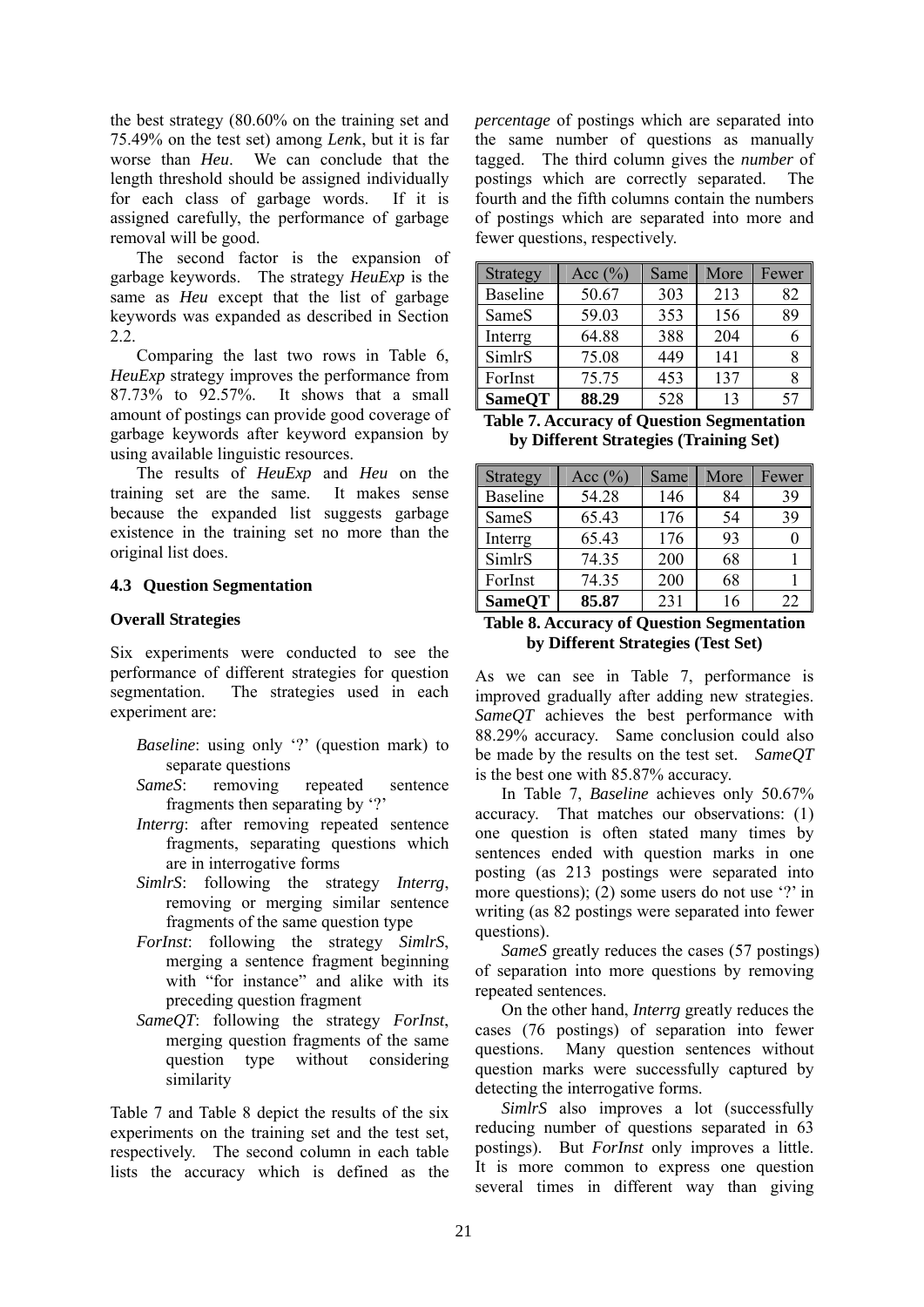the best strategy (80.60% on the training set and 75.49% on the test set) among *Len*k, but it is far worse than *Heu*. We can conclude that the length threshold should be assigned individually for each class of garbage words. If it is assigned carefully, the performance of garbage removal will be good.

The second factor is the expansion of garbage keywords. The strategy *HeuExp* is the same as *Heu* except that the list of garbage keywords was expanded as described in Section 2.2.

Comparing the last two rows in Table 6, *HeuExp* strategy improves the performance from 87.73% to 92.57%. It shows that a small amount of postings can provide good coverage of garbage keywords after keyword expansion by using available linguistic resources.

The results of *HeuExp* and *Heu* on the training set are the same. It makes sense because the expanded list suggests garbage existence in the training set no more than the original list does.

## **4.3 Question Segmentation**

## **Overall Strategies**

Six experiments were conducted to see the performance of different strategies for question segmentation. The strategies used in each experiment are:

- *Baseline*: using only '?' (question mark) to separate questions
- *SameS*: removing repeated sentence fragments then separating by '?'
- *Interrg*: after removing repeated sentence fragments, separating questions which are in interrogative forms
- *SimlrS*: following the strategy *Interrg*, removing or merging similar sentence fragments of the same question type
- *ForInst*: following the strategy *SimlrS*, merging a sentence fragment beginning with "for instance" and alike with its preceding question fragment
- *SameQT*: following the strategy *ForInst*, merging question fragments of the same question type without considering similarity

Table 7 and Table 8 depict the results of the six experiments on the training set and the test set, respectively. The second column in each table lists the accuracy which is defined as the *percentage* of postings which are separated into the same number of questions as manually tagged. The third column gives the *number* of postings which are correctly separated. The fourth and the fifth columns contain the numbers of postings which are separated into more and fewer questions, respectively.

| Strategy        | Acc $(\% )$ | Same | More | Fewer |
|-----------------|-------------|------|------|-------|
| <b>Baseline</b> | 50.67       | 303  | 213  | 82    |
| SameS           | 59.03       | 353  | 156  | 89    |
| Interrg         | 64.88       | 388  | 204  | h     |
| SimlrS          | 75.08       | 449  | 141  |       |
| ForInst         | 75.75       | 453  | 137  |       |
| <b>SameQT</b>   | 88.29       | 528  | 13   | 57    |

| <b>Table 7. Accuracy of Question Segmentation</b> |
|---------------------------------------------------|
| by Different Strategies (Training Set)            |

| Strategy      | Acc $(\%)$ | Same | More | Fewer |
|---------------|------------|------|------|-------|
| Baseline      | 54.28      | 146  | 84   | 39    |
| SameS         | 65.43      | 176  | 54   | 39    |
| Interrg       | 65.43      | 176  | 93   |       |
| SimlrS        | 74.35      | 200  | 68   |       |
| ForInst       | 74.35      | 200  | 68   |       |
| <b>SameOT</b> | 85.87      | 231  | 16   | 22    |

#### **Table 8. Accuracy of Question Segmentation by Different Strategies (Test Set)**

As we can see in Table 7, performance is improved gradually after adding new strategies. *SameQT* achieves the best performance with 88.29% accuracy. Same conclusion could also be made by the results on the test set. *SameQT* is the best one with 85.87% accuracy.

In Table 7, *Baseline* achieves only 50.67% accuracy. That matches our observations: (1) one question is often stated many times by sentences ended with question marks in one posting (as 213 postings were separated into more questions); (2) some users do not use '?' in writing (as 82 postings were separated into fewer questions).

*SameS* greatly reduces the cases (57 postings) of separation into more questions by removing repeated sentences.

On the other hand, *Interrg* greatly reduces the cases (76 postings) of separation into fewer questions. Many question sentences without question marks were successfully captured by detecting the interrogative forms.

*SimlrS* also improves a lot (successfully reducing number of questions separated in 63 postings). But *ForInst* only improves a little. It is more common to express one question several times in different way than giving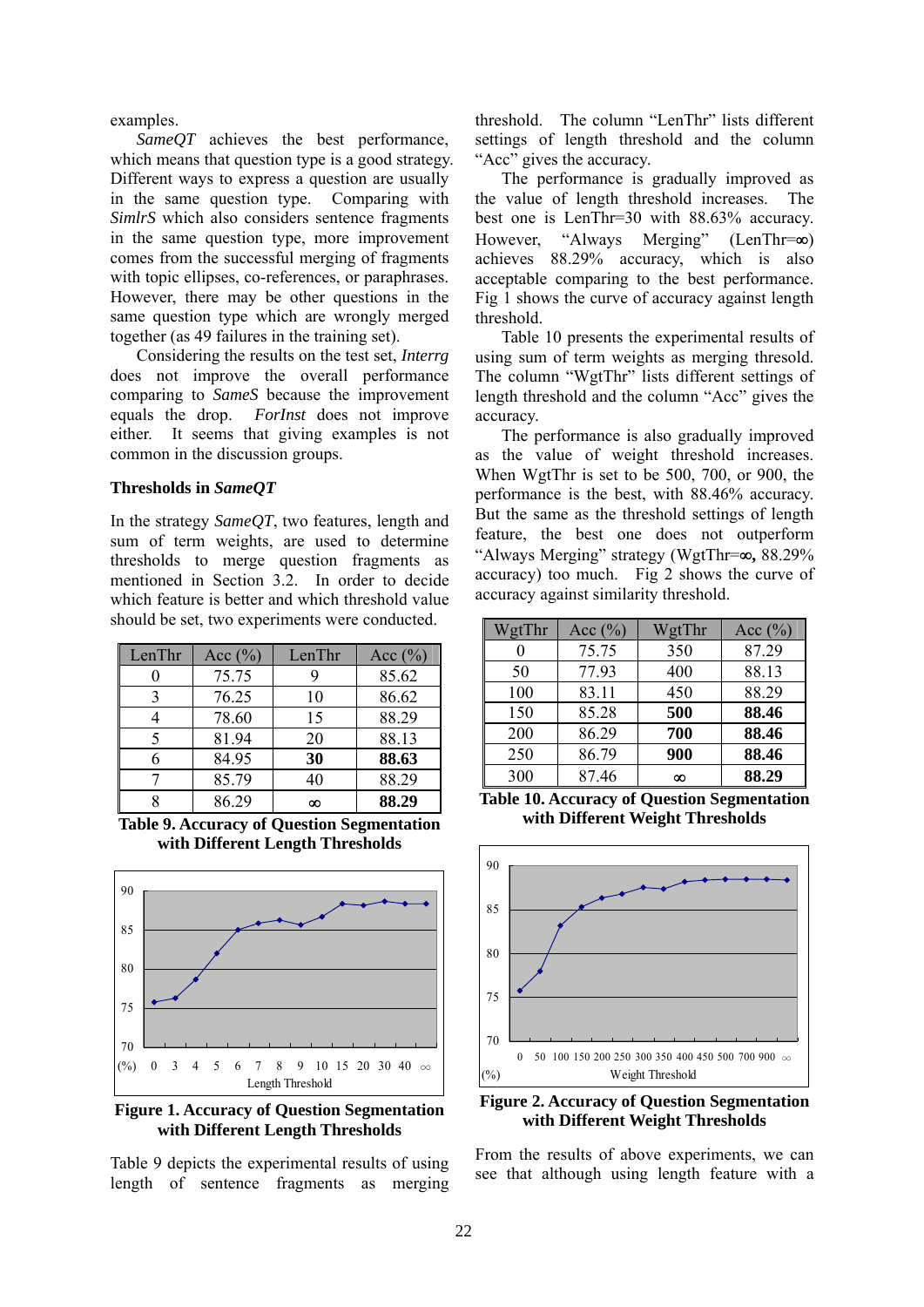examples.

*SameQT* achieves the best performance, which means that question type is a good strategy. Different ways to express a question are usually in the same question type. Comparing with *SimlrS* which also considers sentence fragments in the same question type, more improvement comes from the successful merging of fragments with topic ellipses, co-references, or paraphrases. However, there may be other questions in the same question type which are wrongly merged together (as 49 failures in the training set).

Considering the results on the test set, *Interrg* does not improve the overall performance comparing to *SameS* because the improvement equals the drop. *ForInst* does not improve either. It seems that giving examples is not common in the discussion groups.

#### **Thresholds in** *SameQT*

In the strategy *SameQT*, two features, length and sum of term weights, are used to determine thresholds to merge question fragments as mentioned in Section 3.2. In order to decide which feature is better and which threshold value should be set, two experiments were conducted.

| LenThr | Acc $(\%)$ | LenThr | Acc $(\% )$ |
|--------|------------|--------|-------------|
|        | 75.75      |        | 85.62       |
| 3      | 76.25      | 10     | 86.62       |
|        | 78.60      | 15     | 88.29       |
|        | 81.94      | 20     | 88.13       |
|        | 84.95      | 30     | 88.63       |
|        | 85.79      | 40     | 88.29       |
|        | 86.29      | ∞      | 88.29       |

**Table 9. Accuracy of Question Segmentation with Different Length Thresholds** 



**Figure 1. Accuracy of Question Segmentation with Different Length Thresholds** 

Table 9 depicts the experimental results of using length of sentence fragments as merging threshold. The column "LenThr" lists different settings of length threshold and the column "Acc" gives the accuracy.

The performance is gradually improved as the value of length threshold increases. The best one is LenThr=30 with 88.63% accuracy. However, "Always Merging" (LenThr=∞) achieves 88.29% accuracy, which is also acceptable comparing to the best performance. Fig 1 shows the curve of accuracy against length threshold.

Table 10 presents the experimental results of using sum of term weights as merging thresold. The column "WgtThr" lists different settings of length threshold and the column "Acc" gives the accuracy.

The performance is also gradually improved as the value of weight threshold increases. When WgtThr is set to be 500, 700, or 900, the performance is the best, with 88.46% accuracy. But the same as the threshold settings of length feature, the best one does not outperform "Always Merging" strategy (WgtThr=∞**,** 88.29% accuracy) too much. Fig  $2$  shows the curve of accuracy against similarity threshold.

| WgtThr | Acc $(\%)$ | WgtThr | Acc $(\% )$ |
|--------|------------|--------|-------------|
|        | 75.75      | 350    | 87.29       |
| 50     | 77.93      | 400    | 88.13       |
| 100    | 83.11      | 450    | 88.29       |
| 150    | 85.28      | 500    | 88.46       |
| 200    | 86.29      | 700    | 88.46       |
| 250    | 86.79      | 900    | 88.46       |
| 300    | 87.46      | ∞      | 88.29       |

**Table 10. Accuracy of Question Segmentation with Different Weight Thresholds** 



**Figure 2. Accuracy of Question Segmentation with Different Weight Thresholds** 

From the results of above experiments, we can see that although using length feature with a